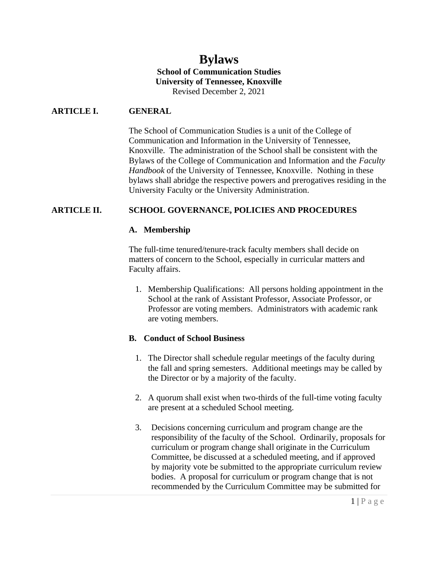# **Bylaws School of Communication Studies University of Tennessee, Knoxville** Revised December 2, 2021

## **ARTICLE I. GENERAL**

The School of Communication Studies is a unit of the College of Communication and Information in the University of Tennessee, Knoxville. The administration of the School shall be consistent with the Bylaws of the College of Communication and Information and the *Faculty Handbook* of the University of Tennessee, Knoxville. Nothing in these bylaws shall abridge the respective powers and prerogatives residing in the University Faculty or the University Administration.

## **ARTICLE II. SCHOOL GOVERNANCE, POLICIES AND PROCEDURES**

#### **A. Membership**

The full-time tenured/tenure-track faculty members shall decide on matters of concern to the School, especially in curricular matters and Faculty affairs.

1. Membership Qualifications: All persons holding appointment in the School at the rank of Assistant Professor, Associate Professor, or Professor are voting members. Administrators with academic rank are voting members.

## **B. Conduct of School Business**

- 1. The Director shall schedule regular meetings of the faculty during the fall and spring semesters. Additional meetings may be called by the Director or by a majority of the faculty.
- 2. A quorum shall exist when two-thirds of the full-time voting faculty are present at a scheduled School meeting.
- 3. Decisions concerning curriculum and program change are the responsibility of the faculty of the School. Ordinarily, proposals for curriculum or program change shall originate in the Curriculum Committee, be discussed at a scheduled meeting, and if approved by majority vote be submitted to the appropriate curriculum review bodies. A proposal for curriculum or program change that is not recommended by the Curriculum Committee may be submitted for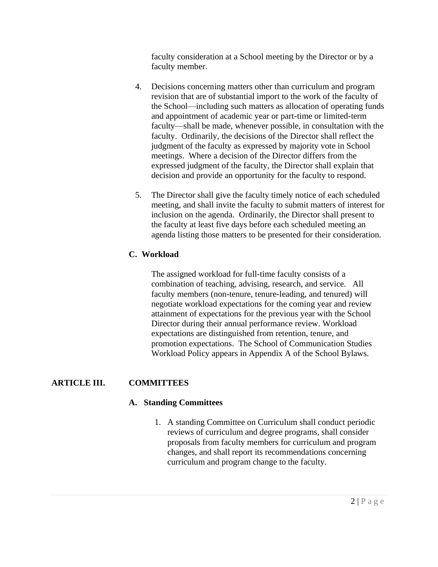faculty consideration at a School meeting by the Director or by a faculty member.

- 4. Decisions concerning matters other than curriculum and program revision that are of substantial import to the work of the faculty of the School—including such matters as allocation of operating funds and appointment of academic year or part-time or limited-term faculty—shall be made, whenever possible, in consultation with the faculty. Ordinarily, the decisions of the Director shall reflect the judgment of the faculty as expressed by majority vote in School meetings. Where a decision of the Director differs from the expressed judgment of the faculty, the Director shall explain that decision and provide an opportunity for the faculty to respond.
- 5. The Director shall give the faculty timely notice of each scheduled meeting, and shall invite the faculty to submit matters of interest for inclusion on the agenda. Ordinarily, the Director shall present to the faculty at least five days before each scheduled meeting an agenda listing those matters to be presented for their consideration.

## **C. Workload**

The assigned workload for full-time faculty consists of a combination of teaching, advising, research, and service. All faculty members (non-tenure, tenure-leading, and tenured) will negotiate workload expectations for the coming year and review attainment of expectations for the previous year with the School Director during their annual performance review. Workload expectations are distinguished from retention, tenure, and promotion expectations. The School of Communication Studies Workload Policy appears in Appendix A of the School Bylaws.

# **ARTICLE III. COMMITTEES**

# **A. Standing Committees**

1. A standing Committee on Curriculum shall conduct periodic reviews of curriculum and degree programs, shall consider proposals from faculty members for curriculum and program changes, and shall report its recommendations concerning curriculum and program change to the faculty.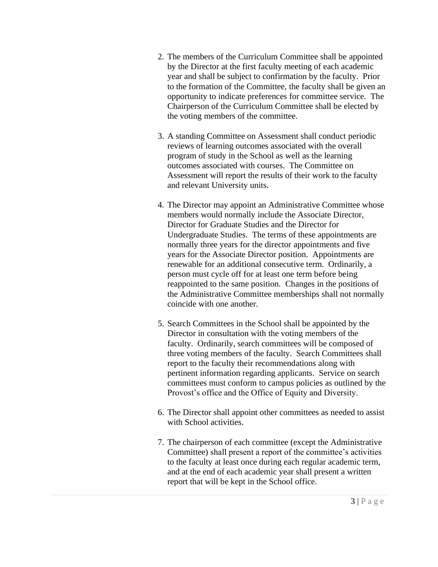- 2. The members of the Curriculum Committee shall be appointed by the Director at the first faculty meeting of each academic year and shall be subject to confirmation by the faculty. Prior to the formation of the Committee, the faculty shall be given an opportunity to indicate preferences for committee service. The Chairperson of the Curriculum Committee shall be elected by the voting members of the committee.
- 3. A standing Committee on Assessment shall conduct periodic reviews of learning outcomes associated with the overall program of study in the School as well as the learning outcomes associated with courses. The Committee on Assessment will report the results of their work to the faculty and relevant University units.
- 4. The Director may appoint an Administrative Committee whose members would normally include the Associate Director, Director for Graduate Studies and the Director for Undergraduate Studies. The terms of these appointments are normally three years for the director appointments and five years for the Associate Director position. Appointments are renewable for an additional consecutive term. Ordinarily, a person must cycle off for at least one term before being reappointed to the same position. Changes in the positions of the Administrative Committee memberships shall not normally coincide with one another.
- 5. Search Committees in the School shall be appointed by the Director in consultation with the voting members of the faculty. Ordinarily, search committees will be composed of three voting members of the faculty. Search Committees shall report to the faculty their recommendations along with pertinent information regarding applicants. Service on search committees must conform to campus policies as outlined by the Provost's office and the Office of Equity and Diversity.
- 6. The Director shall appoint other committees as needed to assist with School activities.
- 7. The chairperson of each committee (except the Administrative Committee) shall present a report of the committee's activities to the faculty at least once during each regular academic term, and at the end of each academic year shall present a written report that will be kept in the School office.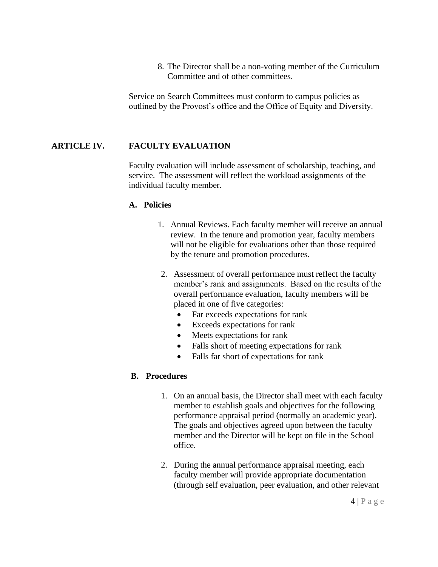8. The Director shall be a non-voting member of the Curriculum Committee and of other committees.

Service on Search Committees must conform to campus policies as outlined by the Provost's office and the Office of Equity and Diversity.

## **ARTICLE IV. FACULTY EVALUATION**

Faculty evaluation will include assessment of scholarship, teaching, and service. The assessment will reflect the workload assignments of the individual faculty member.

#### **A. Policies**

- 1. Annual Reviews. Each faculty member will receive an annual review. In the tenure and promotion year, faculty members will not be eligible for evaluations other than those required by the tenure and promotion procedures.
- 2. Assessment of overall performance must reflect the faculty member's rank and assignments. Based on the results of the overall performance evaluation, faculty members will be placed in one of five categories:
	- Far exceeds expectations for rank
	- Exceeds expectations for rank
	- Meets expectations for rank
	- Falls short of meeting expectations for rank
	- Falls far short of expectations for rank

## **B. Procedures**

- 1. On an annual basis, the Director shall meet with each faculty member to establish goals and objectives for the following performance appraisal period (normally an academic year). The goals and objectives agreed upon between the faculty member and the Director will be kept on file in the School office.
- 2. During the annual performance appraisal meeting, each faculty member will provide appropriate documentation (through self evaluation, peer evaluation, and other relevant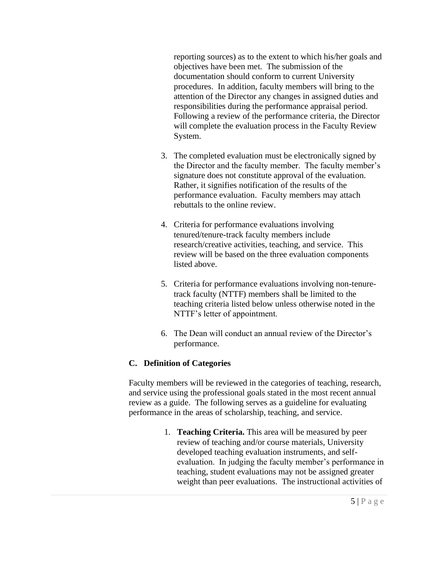reporting sources) as to the extent to which his/her goals and objectives have been met. The submission of the documentation should conform to current University procedures. In addition, faculty members will bring to the attention of the Director any changes in assigned duties and responsibilities during the performance appraisal period. Following a review of the performance criteria, the Director will complete the evaluation process in the Faculty Review System.

- 3. The completed evaluation must be electronically signed by the Director and the faculty member. The faculty member's signature does not constitute approval of the evaluation. Rather, it signifies notification of the results of the performance evaluation. Faculty members may attach rebuttals to the online review.
- 4. Criteria for performance evaluations involving tenured/tenure-track faculty members include research/creative activities, teaching, and service. This review will be based on the three evaluation components listed above.
- 5. Criteria for performance evaluations involving non-tenuretrack faculty (NTTF) members shall be limited to the teaching criteria listed below unless otherwise noted in the NTTF's letter of appointment.
- 6. The Dean will conduct an annual review of the Director's performance.

## **C. Definition of Categories**

Faculty members will be reviewed in the categories of teaching, research, and service using the professional goals stated in the most recent annual review as a guide. The following serves as a guideline for evaluating performance in the areas of scholarship, teaching, and service.

> 1. **Teaching Criteria.** This area will be measured by peer review of teaching and/or course materials, University developed teaching evaluation instruments, and selfevaluation. In judging the faculty member's performance in teaching, student evaluations may not be assigned greater weight than peer evaluations. The instructional activities of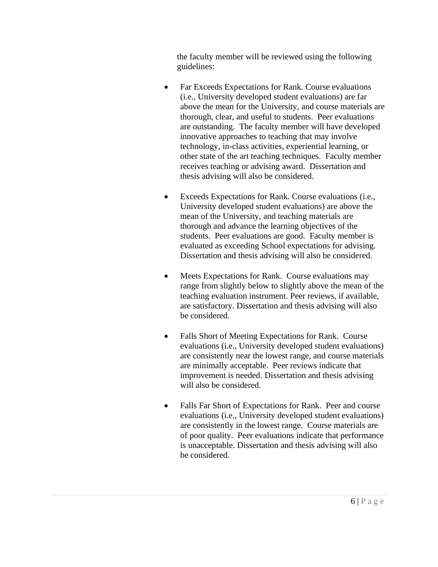the faculty member will be reviewed using the following guidelines:

- Far Exceeds Expectations for Rank*.* Course evaluations (i.e., University developed student evaluations) are far above the mean for the University, and course materials are thorough, clear, and useful to students. Peer evaluations are outstanding. The faculty member will have developed innovative approaches to teaching that may involve technology, in-class activities, experiential learning, or other state of the art teaching techniques. Faculty member receives teaching or advising award. Dissertation and thesis advising will also be considered.
- Exceeds Expectations for Rank*.* Course evaluations (i.e., University developed student evaluations) are above the mean of the University, and teaching materials are thorough and advance the learning objectives of the students. Peer evaluations are good. Faculty member is evaluated as exceeding School expectations for advising. Dissertation and thesis advising will also be considered.
- Meets Expectations for Rank. Course evaluations may range from slightly below to slightly above the mean of the teaching evaluation instrument. Peer reviews, if available, are satisfactory. Dissertation and thesis advising will also be considered.
- Falls Short of Meeting Expectations for Rank. Course evaluations (i.e., University developed student evaluations) are consistently near the lowest range, and course materials are minimally acceptable. Peer reviews indicate that improvement is needed. Dissertation and thesis advising will also be considered.
- Falls Far Short of Expectations for Rank. Peer and course evaluations (i.e., University developed student evaluations) are consistently in the lowest range. Course materials are of poor quality. Peer evaluations indicate that performance is unacceptable. Dissertation and thesis advising will also be considered.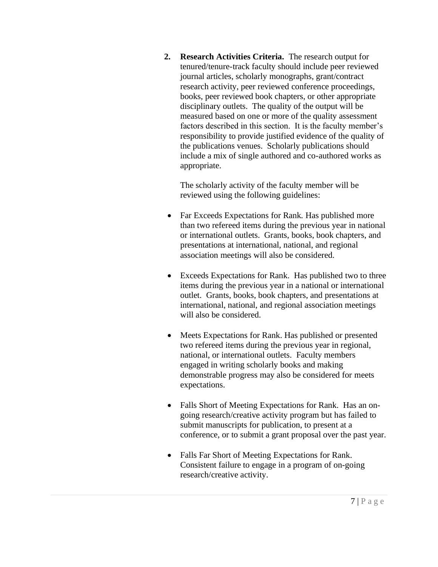**2. Research Activities Criteria.** The research output for tenured/tenure-track faculty should include peer reviewed journal articles, scholarly monographs, grant/contract research activity, peer reviewed conference proceedings, books, peer reviewed book chapters, or other appropriate disciplinary outlets. The quality of the output will be measured based on one or more of the quality assessment factors described in this section. It is the faculty member's responsibility to provide justified evidence of the quality of the publications venues. Scholarly publications should include a mix of single authored and co-authored works as appropriate.

The scholarly activity of the faculty member will be reviewed using the following guidelines:

- Far Exceeds Expectations for Rank*.* Has published more than two refereed items during the previous year in national or international outlets. Grants, books, book chapters, and presentations at international, national, and regional association meetings will also be considered.
- Exceeds Expectations for Rank. Has published two to three items during the previous year in a national or international outlet. Grants, books, book chapters, and presentations at international, national, and regional association meetings will also be considered.
- Meets Expectations for Rank. Has published or presented two refereed items during the previous year in regional, national, or international outlets. Faculty members engaged in writing scholarly books and making demonstrable progress may also be considered for meets expectations.
- Falls Short of Meeting Expectations for Rank. Has an ongoing research/creative activity program but has failed to submit manuscripts for publication, to present at a conference, or to submit a grant proposal over the past year.
- Falls Far Short of Meeting Expectations for Rank. Consistent failure to engage in a program of on-going research/creative activity.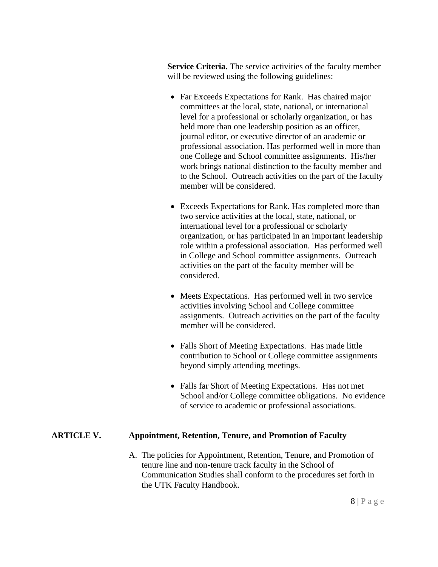**Service Criteria.** The service activities of the faculty member will be reviewed using the following guidelines:

- Far Exceeds Expectations for Rank. Has chaired major committees at the local, state, national, or international level for a professional or scholarly organization, or has held more than one leadership position as an officer, journal editor, or executive director of an academic or professional association. Has performed well in more than one College and School committee assignments. His/her work brings national distinction to the faculty member and to the School. Outreach activities on the part of the faculty member will be considered.
- Exceeds Expectations for Rank*.* Has completed more than two service activities at the local, state, national, or international level for a professional or scholarly organization, or has participated in an important leadership role within a professional association. Has performed well in College and School committee assignments. Outreach activities on the part of the faculty member will be considered.
- Meets Expectations. Has performed well in two service activities involving School and College committee assignments. Outreach activities on the part of the faculty member will be considered.
- Falls Short of Meeting Expectations. Has made little contribution to School or College committee assignments beyond simply attending meetings.
- Falls far Short of Meeting Expectations. Has not met School and/or College committee obligations. No evidence of service to academic or professional associations.

## **ARTICLE V. Appointment, Retention, Tenure, and Promotion of Faculty**

A. The policies for Appointment, Retention, Tenure, and Promotion of tenure line and non-tenure track faculty in the School of Communication Studies shall conform to the procedures set forth in the UTK Faculty Handbook.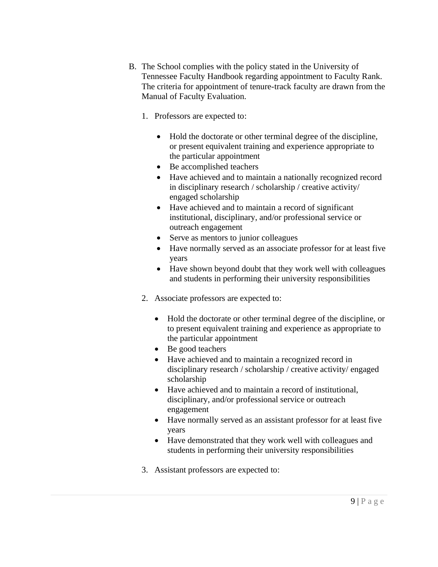- B. The School complies with the policy stated in the University of Tennessee Faculty Handbook regarding appointment to Faculty Rank. The criteria for appointment of tenure-track faculty are drawn from the Manual of Faculty Evaluation.
	- 1. Professors are expected to:
		- Hold the doctorate or other terminal degree of the discipline, or present equivalent training and experience appropriate to the particular appointment
		- Be accomplished teachers
		- Have achieved and to maintain a nationally recognized record in disciplinary research / scholarship / creative activity/ engaged scholarship
		- Have achieved and to maintain a record of significant institutional, disciplinary, and/or professional service or outreach engagement
		- Serve as mentors to junior colleagues
		- Have normally served as an associate professor for at least five years
		- Have shown beyond doubt that they work well with colleagues and students in performing their university responsibilities
	- 2. Associate professors are expected to:
		- Hold the doctorate or other terminal degree of the discipline, or to present equivalent training and experience as appropriate to the particular appointment
		- Be good teachers
		- Have achieved and to maintain a recognized record in disciplinary research / scholarship / creative activity/ engaged scholarship
		- Have achieved and to maintain a record of institutional, disciplinary, and/or professional service or outreach engagement
		- Have normally served as an assistant professor for at least five years
		- Have demonstrated that they work well with colleagues and students in performing their university responsibilities
	- 3. Assistant professors are expected to: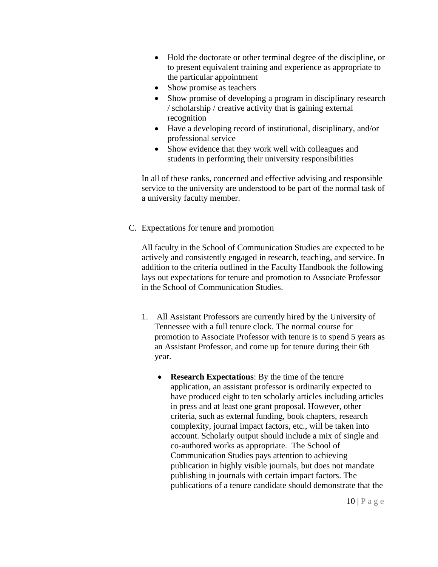- Hold the doctorate or other terminal degree of the discipline, or to present equivalent training and experience as appropriate to the particular appointment
- Show promise as teachers
- Show promise of developing a program in disciplinary research / scholarship / creative activity that is gaining external recognition
- Have a developing record of institutional, disciplinary, and/or professional service
- Show evidence that they work well with colleagues and students in performing their university responsibilities

In all of these ranks, concerned and effective advising and responsible service to the university are understood to be part of the normal task of a university faculty member.

C. Expectations for tenure and promotion

All faculty in the School of Communication Studies are expected to be actively and consistently engaged in research, teaching, and service. In addition to the criteria outlined in the Faculty Handbook the following lays out expectations for tenure and promotion to Associate Professor in the School of Communication Studies.

- 1. All Assistant Professors are currently hired by the University of Tennessee with a full tenure clock. The normal course for promotion to Associate Professor with tenure is to spend 5 years as an Assistant Professor, and come up for tenure during their 6th year.
	- **Research Expectations**: By the time of the tenure application, an assistant professor is ordinarily expected to have produced eight to ten scholarly articles including articles in press and at least one grant proposal. However, other criteria, such as external funding, book chapters, research complexity, journal impact factors, etc., will be taken into account. Scholarly output should include a mix of single and co-authored works as appropriate. The School of Communication Studies pays attention to achieving publication in highly visible journals, but does not mandate publishing in journals with certain impact factors. The publications of a tenure candidate should demonstrate that the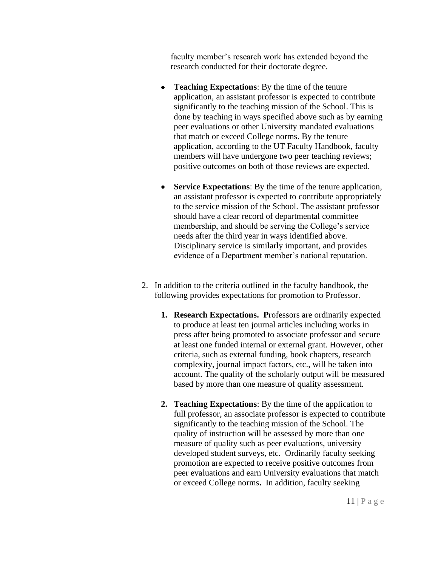faculty member's research work has extended beyond the research conducted for their doctorate degree.

- **Teaching Expectations:** By the time of the tenure application, an assistant professor is expected to contribute significantly to the teaching mission of the School. This is done by teaching in ways specified above such as by earning peer evaluations or other University mandated evaluations that match or exceed College norms. By the tenure application, according to the UT Faculty Handbook, faculty members will have undergone two peer teaching reviews; positive outcomes on both of those reviews are expected.
- **Service Expectations**: By the time of the tenure application, an assistant professor is expected to contribute appropriately to the service mission of the School. The assistant professor should have a clear record of departmental committee membership, and should be serving the College's service needs after the third year in ways identified above. Disciplinary service is similarly important, and provides evidence of a Department member's national reputation.
- 2. In addition to the criteria outlined in the faculty handbook, the following provides expectations for promotion to Professor.
	- **1. Research Expectations. P**rofessors are ordinarily expected to produce at least ten journal articles including works in press after being promoted to associate professor and secure at least one funded internal or external grant. However, other criteria, such as external funding, book chapters, research complexity, journal impact factors, etc., will be taken into account. The quality of the scholarly output will be measured based by more than one measure of quality assessment.
	- **2. Teaching Expectations**: By the time of the application to full professor, an associate professor is expected to contribute significantly to the teaching mission of the School. The quality of instruction will be assessed by more than one measure of quality such as peer evaluations, university developed student surveys, etc. Ordinarily faculty seeking promotion are expected to receive positive outcomes from peer evaluations and earn University evaluations that match or exceed College norms**.** In addition, faculty seeking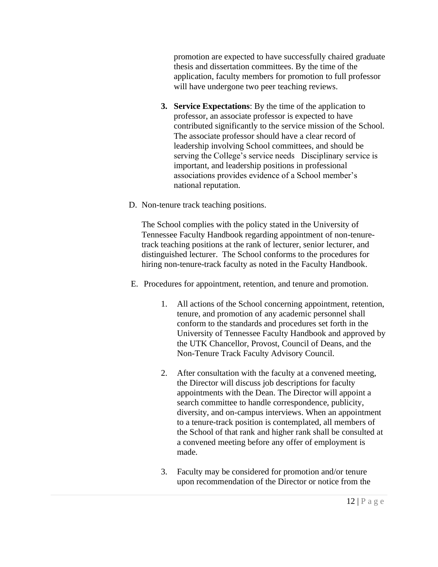promotion are expected to have successfully chaired graduate thesis and dissertation committees. By the time of the application, faculty members for promotion to full professor will have undergone two peer teaching reviews.

- **3. Service Expectations**: By the time of the application to professor, an associate professor is expected to have contributed significantly to the service mission of the School. The associate professor should have a clear record of leadership involving School committees, and should be serving the College's service needs Disciplinary service is important, and leadership positions in professional associations provides evidence of a School member's national reputation.
- D. Non-tenure track teaching positions.

The School complies with the policy stated in the University of Tennessee Faculty Handbook regarding appointment of non-tenuretrack teaching positions at the rank of lecturer, senior lecturer, and distinguished lecturer. The School conforms to the procedures for hiring non-tenure-track faculty as noted in the Faculty Handbook.

- E. Procedures for appointment, retention, and tenure and promotion.
	- 1. All actions of the School concerning appointment, retention, tenure, and promotion of any academic personnel shall conform to the standards and procedures set forth in the University of Tennessee Faculty Handbook and approved by the UTK Chancellor, Provost, Council of Deans, and the Non-Tenure Track Faculty Advisory Council.
	- 2. After consultation with the faculty at a convened meeting, the Director will discuss job descriptions for faculty appointments with the Dean. The Director will appoint a search committee to handle correspondence, publicity, diversity, and on-campus interviews. When an appointment to a tenure-track position is contemplated, all members of the School of that rank and higher rank shall be consulted at a convened meeting before any offer of employment is made.
	- 3. Faculty may be considered for promotion and/or tenure upon recommendation of the Director or notice from the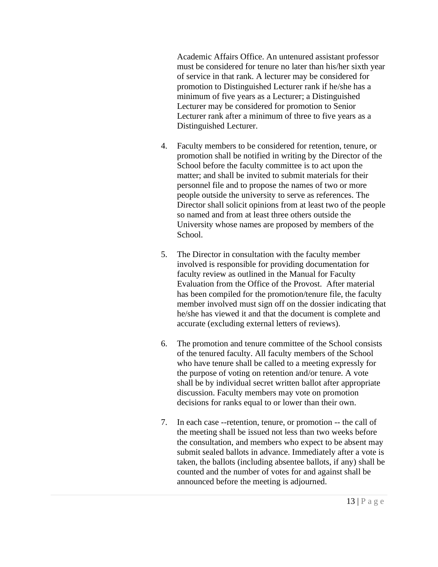Academic Affairs Office. An untenured assistant professor must be considered for tenure no later than his/her sixth year of service in that rank. A lecturer may be considered for promotion to Distinguished Lecturer rank if he/she has a minimum of five years as a Lecturer; a Distinguished Lecturer may be considered for promotion to Senior Lecturer rank after a minimum of three to five years as a Distinguished Lecturer.

- 4. Faculty members to be considered for retention, tenure, or promotion shall be notified in writing by the Director of the School before the faculty committee is to act upon the matter; and shall be invited to submit materials for their personnel file and to propose the names of two or more people outside the university to serve as references. The Director shall solicit opinions from at least two of the people so named and from at least three others outside the University whose names are proposed by members of the School.
- 5. The Director in consultation with the faculty member involved is responsible for providing documentation for faculty review as outlined in the Manual for Faculty Evaluation from the Office of the Provost. After material has been compiled for the promotion/tenure file, the faculty member involved must sign off on the dossier indicating that he/she has viewed it and that the document is complete and accurate (excluding external letters of reviews).
- 6. The promotion and tenure committee of the School consists of the tenured faculty. All faculty members of the School who have tenure shall be called to a meeting expressly for the purpose of voting on retention and/or tenure. A vote shall be by individual secret written ballot after appropriate discussion. Faculty members may vote on promotion decisions for ranks equal to or lower than their own.
- 7. In each case --retention, tenure, or promotion -- the call of the meeting shall be issued not less than two weeks before the consultation, and members who expect to be absent may submit sealed ballots in advance. Immediately after a vote is taken, the ballots (including absentee ballots, if any) shall be counted and the number of votes for and against shall be announced before the meeting is adjourned.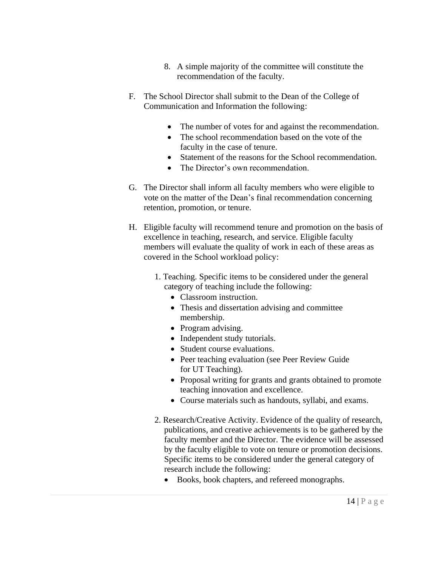- 8. A simple majority of the committee will constitute the recommendation of the faculty.
- F. The School Director shall submit to the Dean of the College of Communication and Information the following:
	- The number of votes for and against the recommendation.
	- The school recommendation based on the vote of the faculty in the case of tenure.
	- Statement of the reasons for the School recommendation.
	- The Director's own recommendation.
- G. The Director shall inform all faculty members who were eligible to vote on the matter of the Dean's final recommendation concerning retention, promotion, or tenure.
- H. Eligible faculty will recommend tenure and promotion on the basis of excellence in teaching, research, and service. Eligible faculty members will evaluate the quality of work in each of these areas as covered in the School workload policy:
	- 1. Teaching. Specific items to be considered under the general category of teaching include the following:
		- Classroom instruction.
		- Thesis and dissertation advising and committee membership.
		- Program advising.
		- Independent study tutorials.
		- Student course evaluations.
		- Peer teaching evaluation (see Peer Review Guide for UT Teaching).
		- Proposal writing for grants and grants obtained to promote teaching innovation and excellence.
		- Course materials such as handouts, syllabi, and exams.
	- 2. Research/Creative Activity. Evidence of the quality of research, publications, and creative achievements is to be gathered by the faculty member and the Director. The evidence will be assessed by the faculty eligible to vote on tenure or promotion decisions. Specific items to be considered under the general category of research include the following:
		- Books, book chapters, and refereed monographs.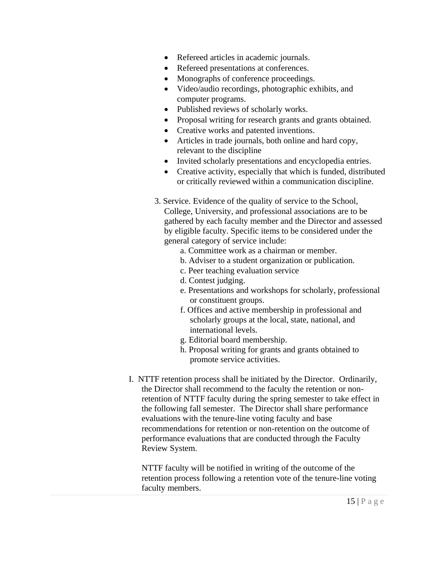- Refereed articles in academic journals.
- Refereed presentations at conferences.
- Monographs of conference proceedings.
- Video/audio recordings, photographic exhibits, and computer programs.
- Published reviews of scholarly works.
- Proposal writing for research grants and grants obtained.
- Creative works and patented inventions.
- Articles in trade journals, both online and hard copy, relevant to the discipline
- Invited scholarly presentations and encyclopedia entries.
- Creative activity, especially that which is funded, distributed or critically reviewed within a communication discipline.
- 3. Service. Evidence of the quality of service to the School, College, University, and professional associations are to be gathered by each faculty member and the Director and assessed by eligible faculty. Specific items to be considered under the general category of service include:
	- a. Committee work as a chairman or member.
	- b. Adviser to a student organization or publication.
	- c. Peer teaching evaluation service
	- d. Contest judging.
	- e. Presentations and workshops for scholarly, professional or constituent groups.
	- f. Offices and active membership in professional and scholarly groups at the local, state, national, and international levels.
	- g. Editorial board membership.
	- h. Proposal writing for grants and grants obtained to promote service activities.
- I. NTTF retention process shall be initiated by the Director. Ordinarily, the Director shall recommend to the faculty the retention or nonretention of NTTF faculty during the spring semester to take effect in the following fall semester. The Director shall share performance evaluations with the tenure-line voting faculty and base recommendations for retention or non-retention on the outcome of performance evaluations that are conducted through the Faculty Review System.

NTTF faculty will be notified in writing of the outcome of the retention process following a retention vote of the tenure-line voting faculty members.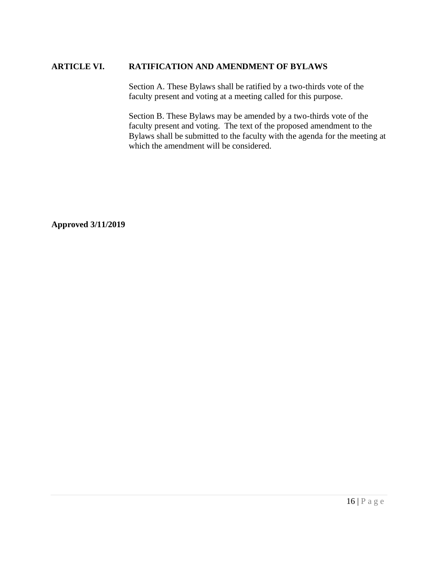#### **ARTICLE VI. RATIFICATION AND AMENDMENT OF BYLAWS**

Section A. These Bylaws shall be ratified by a two-thirds vote of the faculty present and voting at a meeting called for this purpose.

Section B. These Bylaws may be amended by a two-thirds vote of the faculty present and voting. The text of the proposed amendment to the Bylaws shall be submitted to the faculty with the agenda for the meeting at which the amendment will be considered.

**Approved 3/11/2019**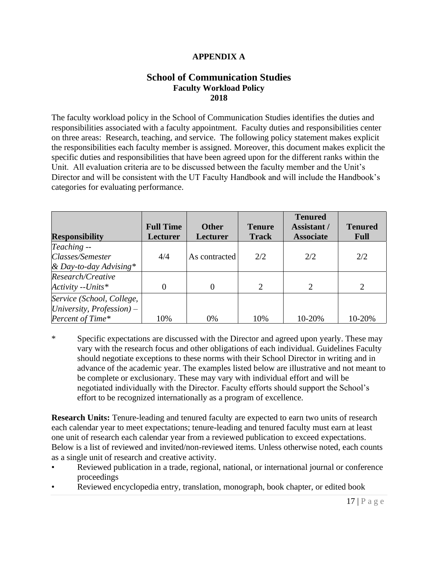## **APPENDIX A**

## **School of Communication Studies Faculty Workload Policy 2018**

The faculty workload policy in the School of Communication Studies identifies the duties and responsibilities associated with a faculty appointment. Faculty duties and responsibilities center on three areas: Research, teaching, and service. The following policy statement makes explicit the responsibilities each faculty member is assigned. Moreover, this document makes explicit the specific duties and responsibilities that have been agreed upon for the different ranks within the Unit. All evaluation criteria are to be discussed between the faculty member and the Unit's Director and will be consistent with the UT Faculty Handbook and will include the Handbook's categories for evaluating performance.

|                           |                  |               |                | <b>Tenured</b>     |                |
|---------------------------|------------------|---------------|----------------|--------------------|----------------|
|                           | <b>Full Time</b> | <b>Other</b>  | <b>Tenure</b>  | <b>Assistant</b> / | <b>Tenured</b> |
| <b>Responsibility</b>     | Lecturer         | Lecturer      | <b>Track</b>   | <b>Associate</b>   | <b>Full</b>    |
| Teaching --               |                  |               |                |                    |                |
| Classes/Semester          | 4/4              | As contracted | 2/2            | 2/2                | 2/2            |
| & Day-to-day Advising*    |                  |               |                |                    |                |
| Research/Creative         |                  |               |                |                    |                |
| $Activity - Units*$       |                  |               | $\overline{2}$ | 2                  | 2              |
| Service (School, College, |                  |               |                |                    |                |
| University, $Professor$ = |                  |               |                |                    |                |
| Percent of Time*          | 10%              | 0%            | 10%            | 10-20%             | 10-20%         |

\* Specific expectations are discussed with the Director and agreed upon yearly. These may vary with the research focus and other obligations of each individual. Guidelines Faculty should negotiate exceptions to these norms with their School Director in writing and in advance of the academic year. The examples listed below are illustrative and not meant to be complete or exclusionary. These may vary with individual effort and will be negotiated individually with the Director. Faculty efforts should support the School's effort to be recognized internationally as a program of excellence.

**Research Units:** Tenure-leading and tenured faculty are expected to earn two units of research each calendar year to meet expectations; tenure-leading and tenured faculty must earn at least one unit of research each calendar year from a reviewed publication to exceed expectations. Below is a list of reviewed and invited/non-reviewed items. Unless otherwise noted, each counts as a single unit of research and creative activity.

- Reviewed publication in a trade, regional, national, or international journal or conference proceedings
- Reviewed encyclopedia entry, translation, monograph, book chapter, or edited book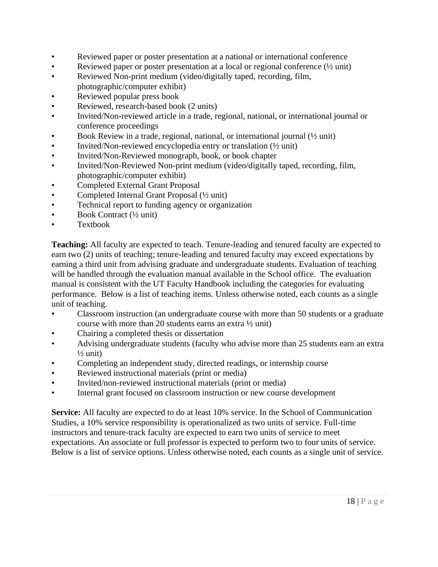- Reviewed paper or poster presentation at a national or international conference
- Reviewed paper or poster presentation at a local or regional conference ( $\frac{1}{2}$  unit)
- Reviewed Non-print medium (video/digitally taped, recording, film, photographic/computer exhibit)
- Reviewed popular press book
- Reviewed, research-based book (2 units)
- Invited/Non-reviewed article in a trade, regional, national, or international journal or conference proceedings
- Book Review in a trade, regional, national, or international journal (½ unit)
- Invited/Non-reviewed encyclopedia entry or translation (½ unit)
- Invited/Non-Reviewed monograph, book, or book chapter
- Invited/Non-Reviewed Non-print medium (video/digitally taped, recording, film, photographic/computer exhibit)
- Completed External Grant Proposal
- Completed Internal Grant Proposal ( $\frac{1}{2}$  unit)
- Technical report to funding agency or organization
- Book Contract  $(\frac{1}{2}$  unit)
- Textbook

**Teaching:** All faculty are expected to teach. Tenure-leading and tenured faculty are expected to earn two (2) units of teaching; tenure-leading and tenured faculty may exceed expectations by earning a third unit from advising graduate and undergraduate students. Evaluation of teaching will be handled through the evaluation manual available in the School office. The evaluation manual is consistent with the UT Faculty Handbook including the categories for evaluating performance. Below is a list of teaching items. Unless otherwise noted, each counts as a single unit of teaching.

- Classroom instruction (an undergraduate course with more than 50 students or a graduate course with more than 20 students earns an extra ½ unit)
- Chairing a completed thesis or dissertation
- Advising undergraduate students (faculty who advise more than 25 students earn an extra  $\frac{1}{2}$  unit)
- Completing an independent study, directed readings, or internship course
- Reviewed instructional materials (print or media)
- Invited/non-reviewed instructional materials (print or media)
- Internal grant focused on classroom instruction or new course development

**Service:** All faculty are expected to do at least 10% service. In the School of Communication Studies, a 10% service responsibility is operationalized as two units of service. Full-time instructors and tenure-track faculty are expected to earn two units of service to meet expectations. An associate or full professor is expected to perform two to four units of service. Below is a list of service options. Unless otherwise noted, each counts as a single unit of service.